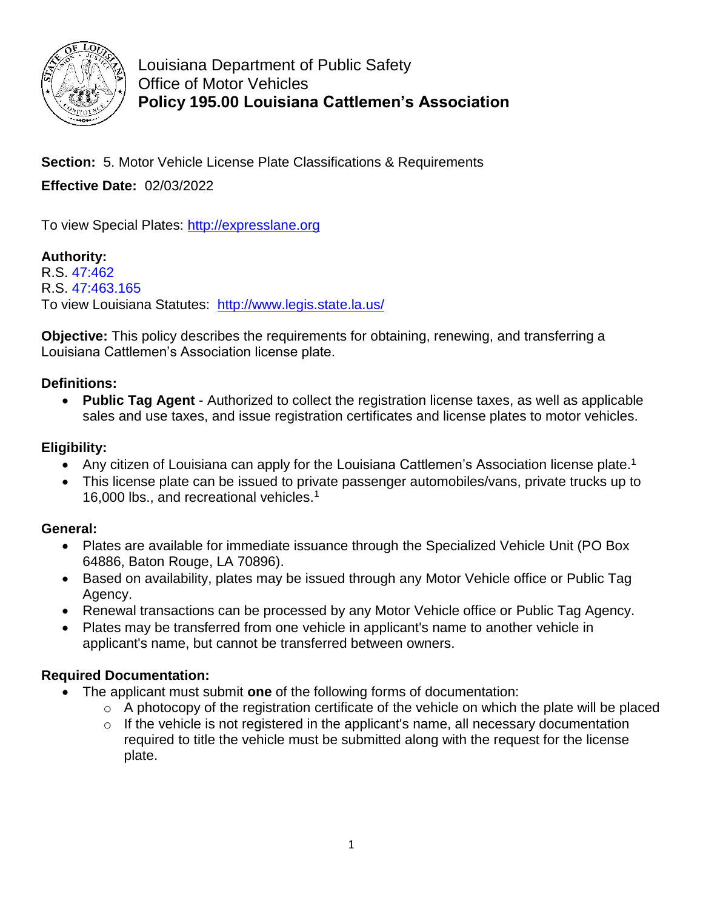

Louisiana Department of Public Safety Office of Motor Vehicles **Policy 195.00 Louisiana Cattlemen's Association**

**Section:** 5. Motor Vehicle License Plate Classifications & Requirements **Effective Date:** 02/03/2022

To view Special Plates: [http://expresslane.org](http://expresslane.org/)

**Authority:** R.S. [47:462](https://legis.la.gov/Legis/Law.aspx?d=102142) R.S. [47:463.165](https://legis.la.gov/Legis/Law.aspx?d=920458)

To view Louisiana Statutes: <http://www.legis.state.la.us/>

**Objective:** This policy describes the requirements for obtaining, renewing, and transferring a Louisiana Cattlemen's Association license plate.

### **Definitions:**

 **Public Tag Agent** - Authorized to collect the registration license taxes, as well as applicable sales and use taxes, and issue registration certificates and license plates to motor vehicles.

### **Eligibility:**

- Any citizen of Louisiana can apply for the Louisiana Cattlemen's Association license plate.<sup>1</sup>
- This license plate can be issued to private passenger automobiles/vans, private trucks up to 16,000 lbs., and recreational vehicles.<sup>1</sup>

### **General:**

- Plates are available for immediate issuance through the Specialized Vehicle Unit (PO Box 64886, Baton Rouge, LA 70896).
- Based on availability, plates may be issued through any Motor Vehicle office or Public Tag Agency.
- Renewal transactions can be processed by any Motor Vehicle office or Public Tag Agency.
- Plates may be transferred from one vehicle in applicant's name to another vehicle in applicant's name, but cannot be transferred between owners.

# **Required Documentation:**

- The applicant must submit **one** of the following forms of documentation:
	- $\circ$  A photocopy of the registration certificate of the vehicle on which the plate will be placed
	- $\circ$  If the vehicle is not registered in the applicant's name, all necessary documentation required to title the vehicle must be submitted along with the request for the license plate.